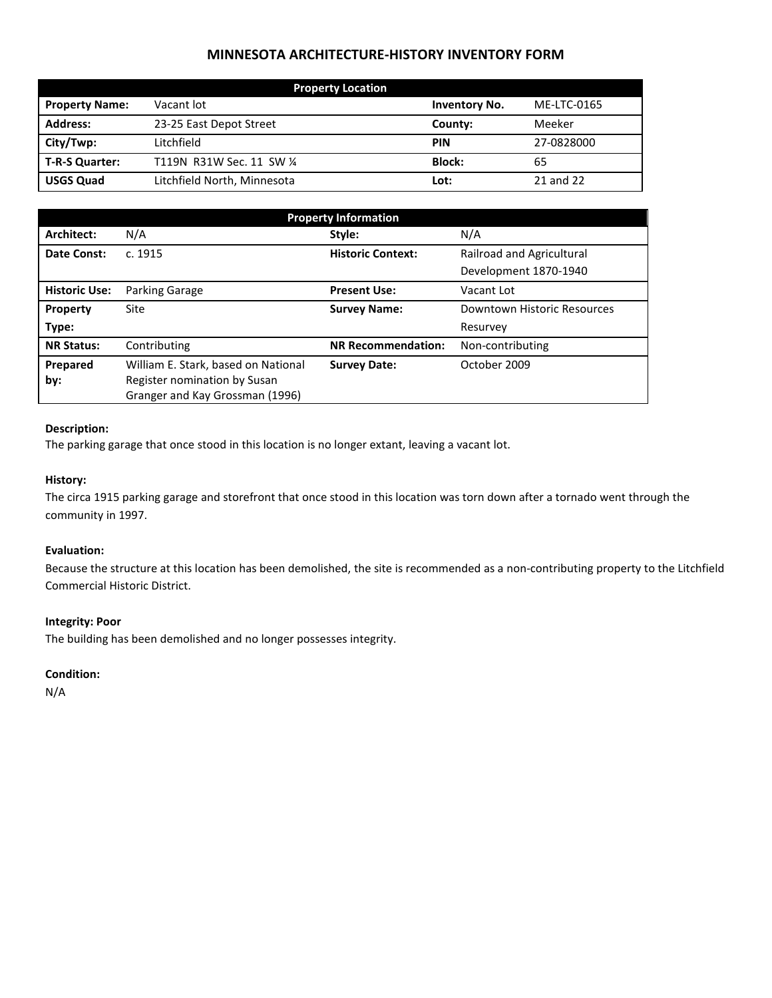# **MINNESOTA ARCHITECTURE-HISTORY INVENTORY FORM**

| <b>Property Location</b> |                             |                      |             |  |
|--------------------------|-----------------------------|----------------------|-------------|--|
| <b>Property Name:</b>    | Vacant lot                  | <b>Inventory No.</b> | ME-LTC-0165 |  |
| <b>Address:</b>          | 23-25 East Depot Street     | County:              | Meeker      |  |
| City/Twp:                | Litchfield                  | <b>PIN</b>           | 27-0828000  |  |
| T-R-S Quarter:           | T119N R31W Sec. 11 SW 1/4   | <b>Block:</b>        | 65          |  |
| <b>USGS Quad</b>         | Litchfield North, Minnesota | Lot:                 | 21 and 22   |  |

| <b>Property Information</b> |                                     |                           |                             |  |
|-----------------------------|-------------------------------------|---------------------------|-----------------------------|--|
| Architect:                  | N/A                                 | Style:                    | N/A                         |  |
| Date Const:                 | c. 1915                             | <b>Historic Context:</b>  | Railroad and Agricultural   |  |
|                             |                                     |                           | Development 1870-1940       |  |
| <b>Historic Use:</b>        | Parking Garage                      | <b>Present Use:</b>       | Vacant Lot                  |  |
| Property                    | Site                                | <b>Survey Name:</b>       | Downtown Historic Resources |  |
| Type:                       |                                     |                           | Resurvey                    |  |
| <b>NR Status:</b>           | Contributing                        | <b>NR Recommendation:</b> | Non-contributing            |  |
| Prepared                    | William E. Stark, based on National | <b>Survey Date:</b>       | October 2009                |  |
| by:                         | Register nomination by Susan        |                           |                             |  |
|                             | Granger and Kay Grossman (1996)     |                           |                             |  |

#### **Description:**

The parking garage that once stood in this location is no longer extant, leaving a vacant lot.

## **History:**

The circa 1915 parking garage and storefront that once stood in this location was torn down after a tornado went through the community in 1997.

#### **Evaluation:**

Because the structure at this location has been demolished, the site is recommended as a non-contributing property to the Litchfield Commercial Historic District.

## **Integrity: Poor**

The building has been demolished and no longer possesses integrity.

## **Condition:**

N/A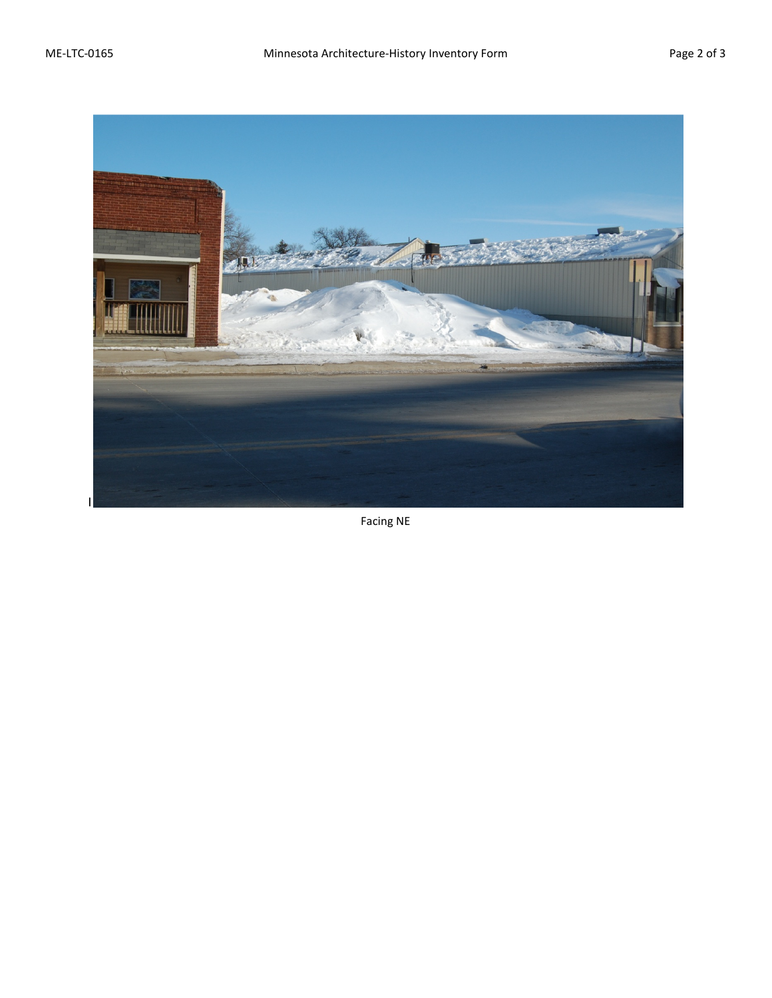

Facing NE